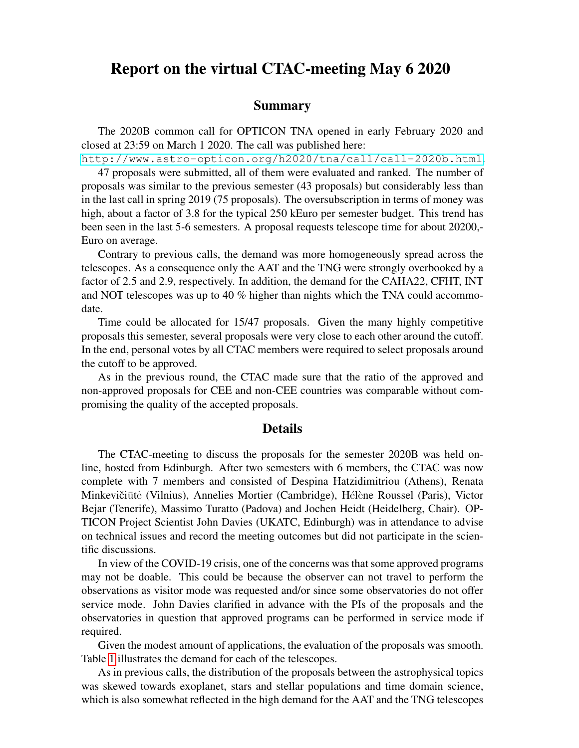## Report on the virtual CTAC-meeting May 6 2020

## Summary

The 2020B common call for OPTICON TNA opened in early February 2020 and closed at 23:59 on March 1 2020. The call was published here:

<http://www.astro-opticon.org/h2020/tna/call/call-2020b.html>.

47 proposals were submitted, all of them were evaluated and ranked. The number of proposals was similar to the previous semester (43 proposals) but considerably less than in the last call in spring 2019 (75 proposals). The oversubscription in terms of money was high, about a factor of 3.8 for the typical 250 kEuro per semester budget. This trend has been seen in the last 5-6 semesters. A proposal requests telescope time for about 20200,- Euro on average.

Contrary to previous calls, the demand was more homogeneously spread across the telescopes. As a consequence only the AAT and the TNG were strongly overbooked by a factor of 2.5 and 2.9, respectively. In addition, the demand for the CAHA22, CFHT, INT and NOT telescopes was up to 40 % higher than nights which the TNA could accommodate.

Time could be allocated for 15/47 proposals. Given the many highly competitive proposals this semester, several proposals were very close to each other around the cutoff. In the end, personal votes by all CTAC members were required to select proposals around the cutoff to be approved.

As in the previous round, the CTAC made sure that the ratio of the approved and non-approved proposals for CEE and non-CEE countries was comparable without compromising the quality of the accepted proposals.

## Details

The CTAC-meeting to discuss the proposals for the semester 2020B was held online, hosted from Edinburgh. After two semesters with 6 members, the CTAC was now complete with 7 members and consisted of Despina Hatzidimitriou (Athens), Renata Minkevičiūtė (Vilnius), Annelies Mortier (Cambridge), Hélène Roussel (Paris), Victor Bejar (Tenerife), Massimo Turatto (Padova) and Jochen Heidt (Heidelberg, Chair). OP-TICON Project Scientist John Davies (UKATC, Edinburgh) was in attendance to advise on technical issues and record the meeting outcomes but did not participate in the scientific discussions.

In view of the COVID-19 crisis, one of the concerns was that some approved programs may not be doable. This could be because the observer can not travel to perform the observations as visitor mode was requested and/or since some observatories do not offer service mode. John Davies clarified in advance with the PIs of the proposals and the observatories in question that approved programs can be performed in service mode if required.

Given the modest amount of applications, the evaluation of the proposals was smooth. Table [1](#page-1-0) illustrates the demand for each of the telescopes.

As in previous calls, the distribution of the proposals between the astrophysical topics was skewed towards exoplanet, stars and stellar populations and time domain science, which is also somewhat reflected in the high demand for the AAT and the TNG telescopes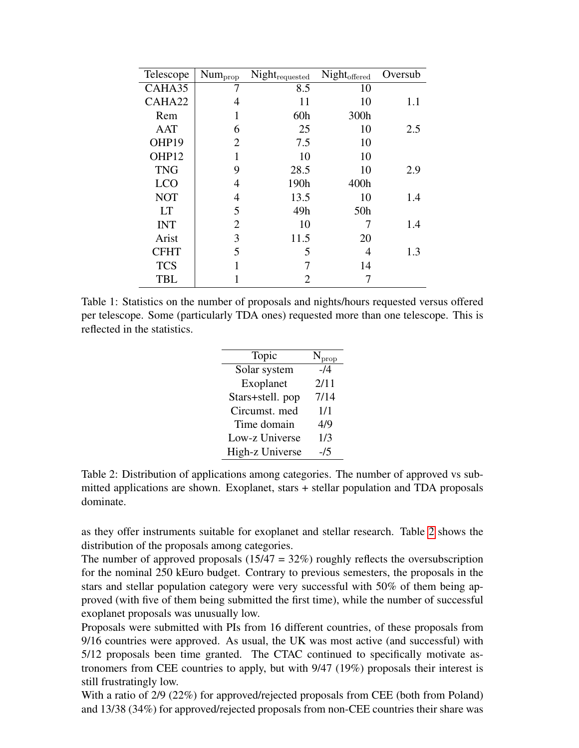| Telescope   | Num <sub>prop</sub> | $\mathbf{Night}_{\mathrm{required}}$ | Night <sub>offered</sub> | Oversub |
|-------------|---------------------|--------------------------------------|--------------------------|---------|
| CAHA35      |                     | 8.5                                  | 10                       |         |
| CAHA22      | 4                   | 11                                   | 10                       | 1.1     |
| Rem         |                     | 60h                                  | 300h                     |         |
| <b>AAT</b>  | 6                   | 25                                   | 10                       | 2.5     |
| OHP19       | $\overline{2}$      | 7.5                                  | 10                       |         |
| OHP12       |                     | 10                                   | 10                       |         |
| <b>TNG</b>  | 9                   | 28.5                                 | 10                       | 2.9     |
| <b>LCO</b>  | 4                   | 190h                                 | 400h                     |         |
| <b>NOT</b>  | 4                   | 13.5                                 | 10                       | 1.4     |
| LТ          | 5                   | 49h                                  | 50 <sub>h</sub>          |         |
| <b>INT</b>  | $\overline{2}$      | 10                                   |                          | 1.4     |
| Arist       | 3                   | 11.5                                 | 20                       |         |
| <b>CFHT</b> | 5                   | 5                                    | 4                        | 1.3     |
| <b>TCS</b>  |                     | 7                                    | 14                       |         |
| <b>TBL</b>  |                     | 2                                    |                          |         |

<span id="page-1-0"></span>Table 1: Statistics on the number of proposals and nights/hours requested versus offered per telescope. Some (particularly TDA ones) requested more than one telescope. This is reflected in the statistics.

| Topic            | $N_{prop}$ |
|------------------|------------|
| Solar system     | $-14$      |
| Exoplanet        | 2/11       |
| Stars+stell. pop | 7/14       |
| Circumst. med    | 1/1        |
| Time domain      | 4/9        |
| Low-z Universe   | 1/3        |
| High-z Universe  | -15        |

<span id="page-1-1"></span>Table 2: Distribution of applications among categories. The number of approved vs submitted applications are shown. Exoplanet, stars + stellar population and TDA proposals dominate.

as they offer instruments suitable for exoplanet and stellar research. Table [2](#page-1-1) shows the distribution of the proposals among categories.

The number of approved proposals  $(15/47 = 32\%)$  roughly reflects the oversubscription for the nominal 250 kEuro budget. Contrary to previous semesters, the proposals in the stars and stellar population category were very successful with 50% of them being approved (with five of them being submitted the first time), while the number of successful exoplanet proposals was unusually low.

Proposals were submitted with PIs from 16 different countries, of these proposals from 9/16 countries were approved. As usual, the UK was most active (and successful) with 5/12 proposals been time granted. The CTAC continued to specifically motivate astronomers from CEE countries to apply, but with 9/47 (19%) proposals their interest is still frustratingly low.

With a ratio of 2/9 (22%) for approved/rejected proposals from CEE (both from Poland) and 13/38 (34%) for approved/rejected proposals from non-CEE countries their share was